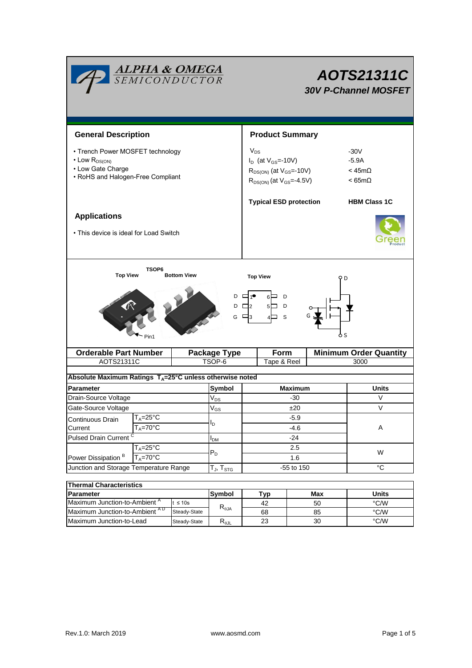| <b>ALPHA &amp; OMEGA</b><br>SEMICONDUCTOR                                                                                         |                                     |                     |                        | AOTS21311C<br><b>30V P-Channel MOSFET</b>                                                                        |                |        |                                                        |               |  |
|-----------------------------------------------------------------------------------------------------------------------------------|-------------------------------------|---------------------|------------------------|------------------------------------------------------------------------------------------------------------------|----------------|--------|--------------------------------------------------------|---------------|--|
| <b>General Description</b>                                                                                                        |                                     |                     |                        | <b>Product Summary</b>                                                                                           |                |        |                                                        |               |  |
| • Trench Power MOSFET technology<br>$\cdot$ Low $R_{DS(ON)}$<br>• Low Gate Charge<br>• RoHS and Halogen-Free Compliant            |                                     |                     |                        | $V_{DS}$<br>$I_D$ (at $V_{GS}$ =-10V)<br>$R_{DS(ON)}$ (at $V_{GS}$ =-10V)<br>$R_{DS(ON)}$ (at $V_{GS} = -4.5V$ ) |                |        | $-30V$<br>$-5.9A$<br>$<$ 45m $\Omega$<br>$< 65m\Omega$ |               |  |
|                                                                                                                                   |                                     |                     |                        | <b>Typical ESD protection</b>                                                                                    |                |        | <b>HBM Class 1C</b>                                    |               |  |
| <b>Applications</b><br>• This device is ideal for Load Switch                                                                     |                                     |                     |                        |                                                                                                                  |                |        |                                                        |               |  |
| <b>Top View</b><br><b>Bottom View</b><br><b>Top View</b><br>D<br>D<br>6⊟<br>D<br>DС<br>$5\Box$<br>- 12<br>G<br>- S<br>Ò S<br>Pin1 |                                     |                     |                        |                                                                                                                  |                |        |                                                        |               |  |
| <b>Orderable Part Number</b>                                                                                                      |                                     | <b>Package Type</b> |                        | Form                                                                                                             |                |        | <b>Minimum Order Quantity</b>                          |               |  |
| AOTS21311C                                                                                                                        |                                     |                     | TSOP-6                 |                                                                                                                  | Tape & Reel    | 3000   |                                                        |               |  |
| Absolute Maximum Ratings TA=25°C unless otherwise noted                                                                           |                                     |                     |                        |                                                                                                                  |                |        |                                                        |               |  |
| <b>Parameter</b>                                                                                                                  |                                     |                     | Symbol<br>$\rm V_{DS}$ |                                                                                                                  | <b>Maximum</b> |        |                                                        | Units         |  |
|                                                                                                                                   | Drain-Source Voltage                |                     |                        |                                                                                                                  |                | -30    |                                                        | V             |  |
| Gate-Source Voltage                                                                                                               |                                     | $\rm V_{GS}$        | ±20                    |                                                                                                                  |                | $\vee$ |                                                        |               |  |
| $T_A = 25$ °C<br>Continuous Drain<br>$T_A = 70$ °C                                                                                |                                     | I <sub>D</sub>      | -5.9<br>-4.6           |                                                                                                                  |                | Α      |                                                        |               |  |
| Current<br><b>Pulsed Drain Current</b>                                                                                            |                                     |                     | $I_{DM}$               | $-24$                                                                                                            |                |        |                                                        |               |  |
| Power Dissipation <sup>B</sup>                                                                                                    | $T_A = 25$ °C<br>$T_A = 70^\circ C$ |                     | $P_D$                  | 2.5<br>1.6                                                                                                       |                |        | W                                                      |               |  |
| Junction and Storage Temperature Range                                                                                            |                                     |                     | $T_J$ , $T_{STG}$      | -55 to 150                                                                                                       |                |        | $^{\circ}C$                                            |               |  |
|                                                                                                                                   |                                     |                     |                        |                                                                                                                  |                |        |                                                        |               |  |
| <b>Thermal Characteristics</b><br>Parameter                                                                                       |                                     |                     | Symbol                 |                                                                                                                  | Tyn            |        | Max                                                    | <b>Ilnits</b> |  |

| ⊓ nermai Unaracteristics                 |                                 |                        |     |       |      |  |  |
|------------------------------------------|---------------------------------|------------------------|-----|-------|------|--|--|
| <b>IParameter</b>                        | <b>Symbol</b>                   | TVD                    | Max | Units |      |  |  |
| Maximum Junction-to-Ambient <sup>"</sup> | t $\leq 10$ s<br>$R_{\theta$ JA |                        | 42  | 50    | °C/W |  |  |
| Maximum Junction-to-Ambient AD           | Steady-State                    |                        | 68  | 85    | °C/W |  |  |
| Maximum Junction-to-Lead                 | Steady-State                    | $R_{\theta \text{JL}}$ | 23  | 30    | °C/W |  |  |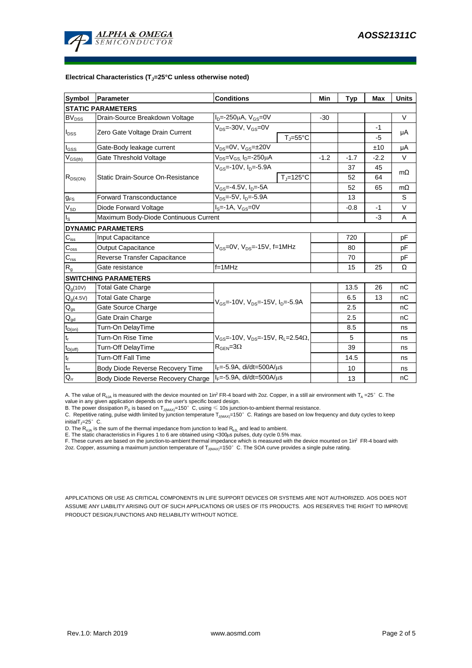

#### **Electrical Characteristics (TJ=25°C unless otherwise noted)**

| <b>Symbol</b>                          | Parameter                             | <b>Conditions</b>                                               |        |        | Max    | <b>Units</b> |  |  |  |
|----------------------------------------|---------------------------------------|-----------------------------------------------------------------|--------|--------|--------|--------------|--|--|--|
| <b>Typ</b><br><b>STATIC PARAMETERS</b> |                                       |                                                                 |        |        |        |              |  |  |  |
| $BV_{DSS}$                             | Drain-Source Breakdown Voltage        | $I_{D} = -250 \mu A$ , $V_{GS} = 0V$                            | $-30$  |        |        | $\vee$       |  |  |  |
| $I_{DSS}$                              | Zero Gate Voltage Drain Current       | $V_{DS}$ =-30V, $V_{GS}$ =0V                                    |        |        | $-1$   | μA           |  |  |  |
|                                        |                                       | $T_{\rm J}$ =55°C                                               |        |        | -5     |              |  |  |  |
| $I_{GSS}$                              | Gate-Body leakage current             | $V_{DS} = 0V$ , $V_{GS} = \pm 20V$                              |        |        | ±10    | μA           |  |  |  |
| $V_{GS(th)}$                           | Gate Threshold Voltage                | V <sub>DS</sub> =V <sub>GS.</sub> I <sub>D</sub> =-250µA        | $-1.2$ | $-1.7$ | $-2.2$ | V            |  |  |  |
| $R_{DS(ON)}$                           | Static Drain-Source On-Resistance     | $V_{GS}$ =-10V, $I_{D}$ =-5.9A                                  |        | 37     | 45     | $m\Omega$    |  |  |  |
|                                        |                                       | $T_{\rm J}$ =125°C                                              |        | 52     | 64     |              |  |  |  |
|                                        |                                       | $V_{GS} = -4.5V$ , $I_D = -5A$                                  |        | 52     | 65     | $m\Omega$    |  |  |  |
| $g_{FS}$                               | <b>Forward Transconductance</b>       | $V_{DS} = -5V$ , $I_{D} = -5.9A$                                |        | 13     |        | S            |  |  |  |
| $V_{SD}$                               | Diode Forward Voltage                 | $I_S = -1A$ , $V_{GS} = 0V$                                     |        | $-0.8$ | $-1$   | V            |  |  |  |
| $\mathsf{I}_\mathsf{S}$                | Maximum Body-Diode Continuous Current |                                                                 |        | $-3$   | A      |              |  |  |  |
|                                        | <b>DYNAMIC PARAMETERS</b>             |                                                                 |        |        |        |              |  |  |  |
| $\mathbf{C}_{\mathsf{iss}}$            | Input Capacitance                     |                                                                 |        | 720    |        | рF           |  |  |  |
| $C_{\rm oss}$                          | <b>Output Capacitance</b>             | $V_{GS}$ =0V, $V_{DS}$ =-15V, f=1MHz                            |        | 80     |        | рF           |  |  |  |
| $\overline{C_{\rm rss}}$               | Reverse Transfer Capacitance          |                                                                 |        | 70     |        | рF           |  |  |  |
| R <sub>g</sub>                         | Gate resistance                       | $f = 1$ MHz                                                     |        | 15     | 25     | Ω            |  |  |  |
|                                        | <b>SWITCHING PARAMETERS</b>           |                                                                 |        |        |        |              |  |  |  |
| $Q_q(10V)$                             | <b>Total Gate Charge</b>              |                                                                 |        | 13.5   | 26     | nC           |  |  |  |
| $Q_g(4.5V)$                            | <b>Total Gate Charge</b>              | $V_{GS}$ =-10V, $V_{DS}$ =-15V, $I_{D}$ =-5.9A                  |        | 6.5    | 13     | nC           |  |  |  |
| $\mathsf{Q}_{\text{gs}}$               | Gate Source Charge                    |                                                                 |        | 2.5    |        | nC           |  |  |  |
| $\mathsf{Q}_{\mathsf{gd}}$             | Gate Drain Charge                     |                                                                 |        | 2.5    |        | пC           |  |  |  |
| $t_{D(on)}$                            | Turn-On DelayTime                     |                                                                 |        | 8.5    |        | ns           |  |  |  |
| $t_r$                                  | Turn-On Rise Time                     | $V_{GS}$ =-10V, $V_{DS}$ =-15V, R <sub>1</sub> =2.54 $\Omega$ , |        | 5      |        | ns           |  |  |  |
| $t_{D(off)}$                           | Turn-Off DelayTime                    | $R_{\text{GEN}} = 3\Omega$                                      |        | 39     |        | ns           |  |  |  |
| $t_f$                                  | Turn-Off Fall Time                    |                                                                 |        | 14.5   |        | ns           |  |  |  |
| $\mathfrak{t}_{\text{rr}}$             | Body Diode Reverse Recovery Time      | $I_F = -5.9A$ , di/dt=500A/ $\mu$ s                             |        | 10     |        | ns           |  |  |  |
| $Q_{rr}$                               | Body Diode Reverse Recovery Charge    | $I_F$ =-5.9A, di/dt=500A/ $\mu$ s                               |        | 13     |        | nC           |  |  |  |

A. The value of  $R_{\theta JA}$  is measured with the device mounted on 1in<sup>2</sup> FR-4 board with 2oz. Copper, in a still air environment with T<sub>A</sub> =25° C. The value in any given application depends on the user's specific board design.

B. The power dissipation  ${\sf P}_{\sf D}$  is based on  ${\sf T}_{\sf J(MAX)}$ =150 $^\circ\,$  C, using  $\leqslant$  10s junction-to-ambient thermal resistance.

C. Repetitive rating, pulse width limited by junction temperature T $_{\rm J(MAX)}$ =150°C. Ratings are based on low frequency and duty cycles to keep

initialT $j=25^\circ$  C.

D. The R<sub>eJA</sub> is the sum of the thermal impedance from junction to lead R<sub>eJL</sub> and lead to ambient.<br>E. The static characteristics in Figures 1 to 6 are obtained using <300µs pulses, duty cycle 0.5% max.<br>F. These curves are

APPLICATIONS OR USE AS CRITICAL COMPONENTS IN LIFE SUPPORT DEVICES OR SYSTEMS ARE NOT AUTHORIZED. AOS DOES NOT ASSUME ANY LIABILITY ARISING OUT OF SUCH APPLICATIONS OR USES OF ITS PRODUCTS. AOS RESERVES THE RIGHT TO IMPROVE PRODUCT DESIGN,FUNCTIONS AND RELIABILITY WITHOUT NOTICE.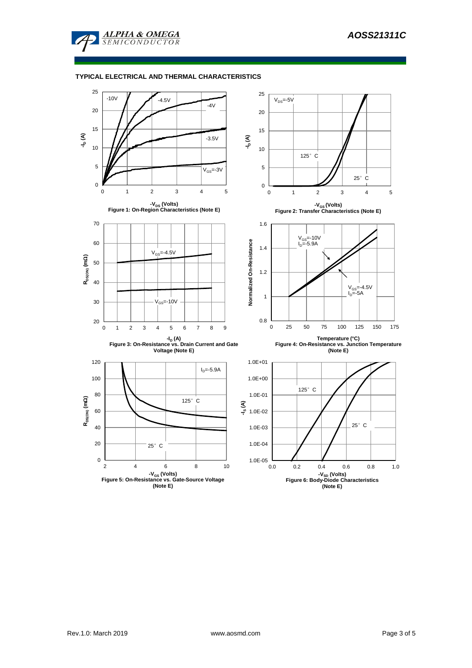

## **TYPICAL ELECTRICAL AND THERMAL CHARACTERISTICS**

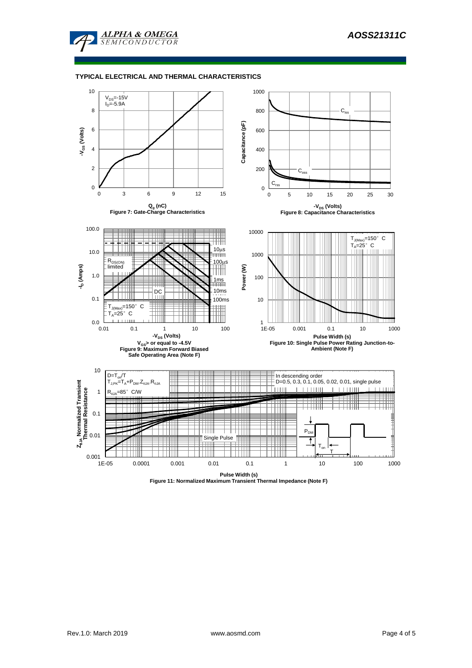

### **TYPICAL ELECTRICAL AND THERMAL CHARACTERISTICS**